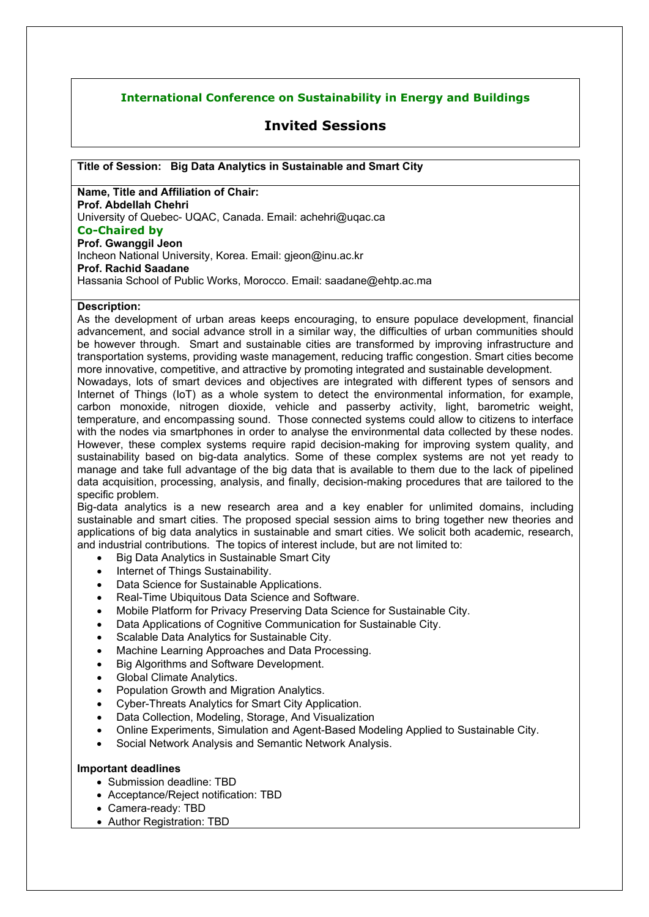## **International Conference on Sustainability in Energy and Buildings**

# **Invited Sessions**

**Title of Session: Big Data Analytics in Sustainable and Smart City**

**Name, Title and Affiliation of Chair: Prof. Abdellah Chehri**  University of Quebec- UQAC, Canada. Email: achehri@uqac.ca **Co-Chaired by Prof. Gwanggil Jeon**  Incheon National University, Korea. Email: gjeon@inu.ac.kr **Prof. Rachid Saadane** Hassania School of Public Works, Morocco. Email: saadane@ehtp.ac.ma

### **Description:**

As the development of urban areas keeps encouraging, to ensure populace development, financial advancement, and social advance stroll in a similar way, the difficulties of urban communities should be however through. Smart and sustainable cities are transformed by improving infrastructure and transportation systems, providing waste management, reducing traffic congestion. Smart cities become more innovative, competitive, and attractive by promoting integrated and sustainable development.

Nowadays, lots of smart devices and objectives are integrated with different types of sensors and Internet of Things (IoT) as a whole system to detect the environmental information, for example, carbon monoxide, nitrogen dioxide, vehicle and passerby activity, light, barometric weight, temperature, and encompassing sound. Those connected systems could allow to citizens to interface with the nodes via smartphones in order to analyse the environmental data collected by these nodes. However, these complex systems require rapid decision-making for improving system quality, and sustainability based on big-data analytics. Some of these complex systems are not yet ready to manage and take full advantage of the big data that is available to them due to the lack of pipelined data acquisition, processing, analysis, and finally, decision-making procedures that are tailored to the specific problem.

Big-data analytics is a new research area and a key enabler for unlimited domains, including sustainable and smart cities. The proposed special session aims to bring together new theories and applications of big data analytics in sustainable and smart cities. We solicit both academic, research, and industrial contributions. The topics of interest include, but are not limited to:

- Big Data Analytics in Sustainable Smart City
- Internet of Things Sustainability.
- Data Science for Sustainable Applications.
- Real-Time Ubiquitous Data Science and Software.
- Mobile Platform for Privacy Preserving Data Science for Sustainable City.
- Data Applications of Cognitive Communication for Sustainable City.
- Scalable Data Analytics for Sustainable City.
- Machine Learning Approaches and Data Processing.
- Big Algorithms and Software Development.
- Global Climate Analytics.
- Population Growth and Migration Analytics.
- Cyber-Threats Analytics for Smart City Application.
- Data Collection, Modeling, Storage, And Visualization
- Online Experiments, Simulation and Agent-Based Modeling Applied to Sustainable City.
- Social Network Analysis and Semantic Network Analysis.

### **Important deadlines**

- Submission deadline: TBD
- Acceptance/Reject notification: TBD
- Camera-ready: TBD
- Author Registration: TBD